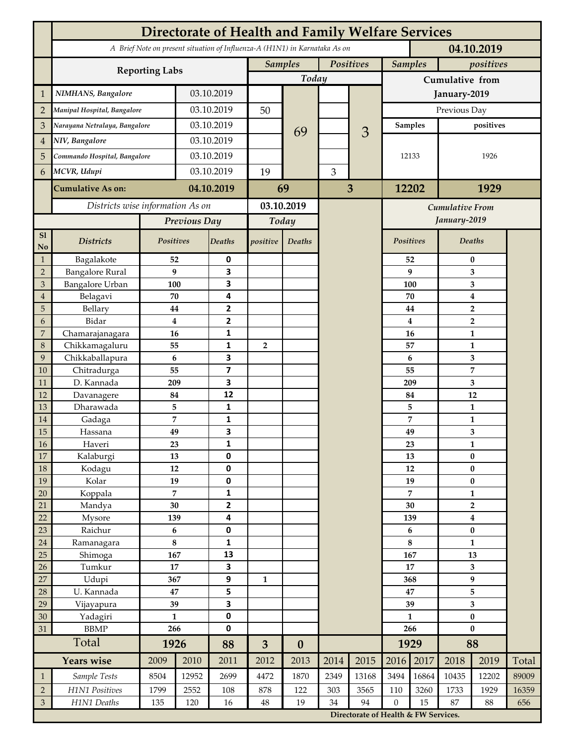|                 | <b>Directorate of Health and Family Welfare Services</b>                                 |                                 |            |                         |                |                  |           |                                                                                        |                 |          |                           |                  |       |  |
|-----------------|------------------------------------------------------------------------------------------|---------------------------------|------------|-------------------------|----------------|------------------|-----------|----------------------------------------------------------------------------------------|-----------------|----------|---------------------------|------------------|-------|--|
|                 | A Brief Note on present situation of Influenza-A (H1N1) in Karnataka As on<br>04.10.2019 |                                 |            |                         |                |                  |           |                                                                                        |                 |          |                           |                  |       |  |
|                 | <b>Reporting Labs</b>                                                                    |                                 |            |                         | <b>Samples</b> |                  | Positives |                                                                                        | <b>Samples</b>  |          | positives                 |                  |       |  |
|                 |                                                                                          |                                 |            |                         |                | Today            |           |                                                                                        | Cumulative from |          |                           |                  |       |  |
| $\mathbf{1}$    | NIMHANS, Bangalore                                                                       | 03.10.2019                      |            |                         |                |                  |           | January-2019                                                                           |                 |          |                           |                  |       |  |
| $\overline{2}$  | Manipal Hospital, Bangalore                                                              |                                 |            | 03.10.2019              |                |                  |           |                                                                                        | Previous Day    |          |                           |                  |       |  |
| 3               | Narayana Netralaya, Bangalore                                                            |                                 |            | 03.10.2019              |                |                  |           |                                                                                        | Samples         |          | positives                 |                  |       |  |
| $\overline{4}$  | NIV, Bangalore                                                                           |                                 | 03.10.2019 |                         |                | 69               |           | 3                                                                                      | 12133           |          |                           |                  |       |  |
| 5               | Commando Hospital, Bangalore                                                             |                                 | 03.10.2019 |                         |                |                  |           |                                                                                        |                 |          |                           | 1926             |       |  |
| 6               | MCVR, Udupi                                                                              |                                 | 03.10.2019 |                         | 19             |                  | 3         |                                                                                        |                 |          |                           |                  |       |  |
|                 |                                                                                          |                                 |            |                         |                |                  |           |                                                                                        |                 |          |                           |                  |       |  |
|                 | <b>Cumulative As on:</b>                                                                 |                                 | 04.10.2019 |                         | 69             |                  |           | 3                                                                                      |                 | 12202    |                           | 1929             |       |  |
|                 | Districts wise information As on                                                         |                                 |            | 03.10.2019              |                |                  |           | <b>Cumulative From</b>                                                                 |                 |          |                           |                  |       |  |
|                 |                                                                                          | Previous Day                    |            | Today                   |                |                  |           |                                                                                        |                 |          | January-2019              |                  |       |  |
| S1<br>No        | <b>Districts</b>                                                                         | Positives                       |            | Deaths                  | positive       | Deaths           |           |                                                                                        | Positives       |          | Deaths                    |                  |       |  |
| $\mathbf{1}$    | Bagalakote                                                                               | 52                              |            | 0                       |                |                  |           |                                                                                        | 52              | $\bf{0}$ |                           |                  |       |  |
| $\overline{2}$  | <b>Bangalore Rural</b>                                                                   | 9                               |            | 3                       |                |                  |           |                                                                                        |                 | 9        | 3                         |                  |       |  |
| 3               | <b>Bangalore Urban</b>                                                                   | 100                             |            | 3                       |                |                  |           |                                                                                        | 100             |          | 3                         |                  |       |  |
| $\overline{4}$  | Belagavi                                                                                 | 70                              |            | 4                       |                |                  |           |                                                                                        |                 | 70       |                           | $\boldsymbol{4}$ |       |  |
| 5<br>6          | Bellary<br>Bidar                                                                         | 44<br>$\bf{4}$                  |            | 2<br>$\mathbf{2}$       |                |                  |           |                                                                                        |                 | 44<br>4  |                           | $\overline{2}$   |       |  |
| 7               | Chamarajanagara                                                                          | 16                              |            | 1                       |                |                  |           |                                                                                        |                 | 16       | $\overline{2}$<br>1       |                  |       |  |
| 8               | Chikkamagaluru                                                                           | 55                              |            | 1                       | $\overline{2}$ |                  |           |                                                                                        |                 | 57       |                           | 1                |       |  |
| 9               | Chikkaballapura                                                                          | 6                               |            | 3                       |                |                  |           |                                                                                        |                 | 6        |                           | 3                |       |  |
| 10              | Chitradurga                                                                              | 55                              |            | $\overline{\mathbf{z}}$ |                |                  |           |                                                                                        |                 | 55       |                           | 7                |       |  |
| 11              | D. Kannada                                                                               | 209                             |            | 3                       |                |                  |           |                                                                                        |                 | 209      | 3                         |                  |       |  |
| 12              | Davanagere                                                                               | 84                              |            | 12                      |                |                  |           |                                                                                        |                 | 84       |                           | 12               |       |  |
| 13              | Dharawada                                                                                | 5                               |            | $\mathbf{1}$            |                |                  |           |                                                                                        | 5<br>7          |          |                           | $\mathbf{1}$     |       |  |
| 14              | Gadaga                                                                                   | 7                               |            | 1<br>3                  |                |                  |           |                                                                                        |                 |          |                           | 1                |       |  |
| 15<br><b>16</b> | Hassana<br>Haveri                                                                        | 49<br>23                        |            | 1                       |                |                  |           |                                                                                        | 49<br>23        |          | 3<br>1                    |                  |       |  |
| 17              | Kalaburgi                                                                                | 13                              |            | 0                       |                |                  |           |                                                                                        |                 | 13       | $\pmb{0}$                 |                  |       |  |
| 18              | Kodagu                                                                                   | 12                              |            | $\pmb{0}$               |                |                  |           |                                                                                        |                 | 12       |                           | $\pmb{0}$        |       |  |
| 19              | Kolar                                                                                    | 19                              |            | 0                       |                |                  |           |                                                                                        |                 | 19       |                           | $\pmb{0}$        |       |  |
| 20              | Koppala                                                                                  | $\overline{7}$                  |            | 1                       |                |                  |           |                                                                                        |                 | 7        |                           | $\mathbf{1}$     |       |  |
| 21              | Mandya                                                                                   | $30\,$                          |            | 2                       |                |                  |           |                                                                                        | 30              |          | $\mathbf{2}$              |                  |       |  |
| 22              | Mysore                                                                                   | 139                             |            | 4                       |                |                  |           |                                                                                        | 139             |          | $\boldsymbol{4}$          |                  |       |  |
| 23              | Raichur                                                                                  | $\bf 6$<br>8                    |            | $\pmb{0}$               |                |                  |           |                                                                                        | 6<br>8          |          | $\pmb{0}$<br>$\mathbf{1}$ |                  |       |  |
| $24\,$<br>25    | Ramanagara<br>Shimoga                                                                    | 167                             |            | 1<br>13                 |                |                  |           |                                                                                        | 167             |          | 13                        |                  |       |  |
| 26              | Tumkur                                                                                   | 17                              |            | 3                       |                |                  |           |                                                                                        | 17              |          | 3                         |                  |       |  |
| 27              | Udupi                                                                                    | 367                             |            | 9                       | 1              |                  |           |                                                                                        | 368             |          | 9                         |                  |       |  |
| 28              | U. Kannada                                                                               | $\bf 47$                        |            | 5                       |                |                  |           |                                                                                        | 47              |          | 5                         |                  |       |  |
| 29              | Vijayapura                                                                               | 39                              |            | 3                       |                |                  |           |                                                                                        | 39              |          | $\overline{\mathbf{3}}$   |                  |       |  |
| 30              | Yadagiri                                                                                 | $\mathbf{1}$                    |            | 0                       |                |                  |           |                                                                                        | $\mathbf{1}$    |          | $\pmb{0}$                 |                  |       |  |
| 31              | <b>BBMP</b>                                                                              | 266                             |            | 0                       |                |                  |           |                                                                                        | 266             |          | $\bf{0}$                  |                  |       |  |
|                 | Total                                                                                    | 1926                            |            | 88                      | $\overline{3}$ | $\boldsymbol{0}$ |           |                                                                                        |                 | 1929     |                           | 88               |       |  |
|                 | <b>Years wise</b>                                                                        | 2009                            | 2010       | 2011                    | 2012           | 2013             | 2014      | 2015                                                                                   | 2016            | 2017     | 2018                      | 2019             | Total |  |
| $\mathbf{1}$    | Sample Tests                                                                             | 8504                            | 12952      | 2699                    | 4472           | 1870             | 2349      | 13168                                                                                  | 3494            | 16864    | 10435                     | 12202            | 89009 |  |
| $\overline{2}$  | H1N1 Positives                                                                           | 1799                            | 2552       | 108                     | 878            | 122              | 303       | 3565                                                                                   | 110             | 3260     | 1733                      | 1929             | 16359 |  |
| $\mathfrak{Z}$  |                                                                                          | H1N1 Deaths<br>135<br>120<br>16 |            |                         | $48\,$         | 19               |           | 94<br>$\boldsymbol{0}$<br>15<br>34<br>87<br>88<br>Directorate of Health & FW Services. |                 |          |                           | 656              |       |  |
|                 |                                                                                          |                                 |            |                         |                |                  |           |                                                                                        |                 |          |                           |                  |       |  |